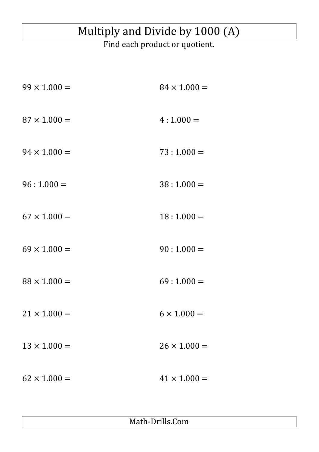## Multiply and Divide by 1000 (A)

Find each product or quotient.

| $84 \times 1.000 =$ |
|---------------------|
| $4:1.000=$          |
| $73:1.000=$         |
| $38:1.000=$         |
| $18:1.000=$         |
| $90:1.000=$         |
| $69:1.000=$         |
| $6 \times 1.000 =$  |
| $26 \times 1.000 =$ |
| $41 \times 1.000 =$ |
|                     |